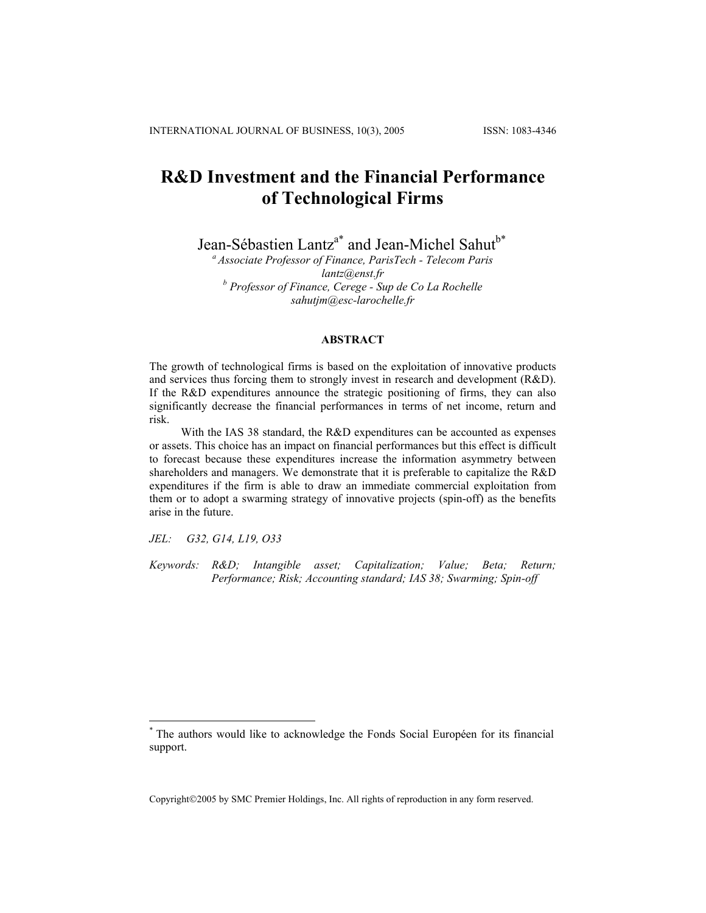# **R&D Investment and the Financial Performance of Technological Firms**

Jean-Sébastien Lantz<sup>a\*</sup> and Jean-Michel Sahut<sup>b\*</sup>

*a Associate Professor of Finance, ParisTech - Telecom Paris [lantz@enst.fr](mailto:lantz@enst.fr) <sup>b</sup> Professor of Finance, Cerege - Sup de Co La Rochelle [sahutjm@esc-larochelle.fr](mailto:sahutjm@esc-larochelle.fr)*

### **ABSTRACT**

The growth of technological firms is based on the exploitation of innovative products and services thus forcing them to strongly invest in research and development (R&D). If the R&D expenditures announce the strategic positioning of firms, they can also significantly decrease the financial performances in terms of net income, return and risk.

With the IAS 38 standard, the R&D expenditures can be accounted as expenses or assets. This choice has an impact on financial performances but this effect is difficult to forecast because these expenditures increase the information asymmetry between shareholders and managers. We demonstrate that it is preferable to capitalize the R&D expenditures if the firm is able to draw an immediate commercial exploitation from them or to adopt a swarming strategy of innovative projects (spin-off) as the benefits arise in the future.

*JEL: G32, G14, L19, O33* 

1

*Keywords: R&D; Intangible asset; Capitalization; Value; Beta; Return; Performance; Risk; Accounting standard; IAS 38; Swarming; Spin-off* 

Copyright2005 by SMC Premier Holdings, Inc. All rights of reproduction in any form reserved.

<sup>\*</sup> The authors would like to acknowledge the Fonds Social Européen for its financial support.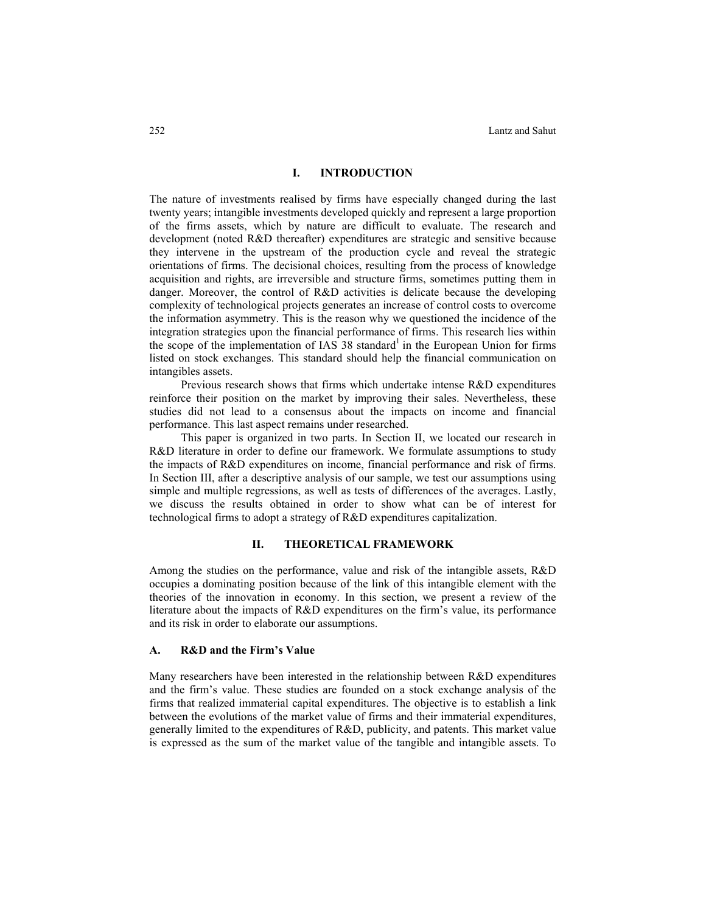## **I. INTRODUCTION**

The nature of investments realised by firms have especially changed during the last twenty years; intangible investments developed quickly and represent a large proportion of the firms assets, which by nature are difficult to evaluate. The research and development (noted R&D thereafter) expenditures are strategic and sensitive because they intervene in the upstream of the production cycle and reveal the strategic orientations of firms. The decisional choices, resulting from the process of knowledge acquisition and rights, are irreversible and structure firms, sometimes putting them in danger. Moreover, the control of R&D activities is delicate because the developing complexity of technological projects generates an increase of control costs to overcome the information asymmetry. This is the reason why we questioned the incidence of the integration strategies upon the financial performance of firms. This research lies within the scope of the implementation of IAS  $38$  standard<sup>1</sup> in the European Union for firms listed on stock exchanges. This standard should help the financial communication on intangibles assets.

Previous research shows that firms which undertake intense R&D expenditures reinforce their position on the market by improving their sales. Nevertheless, these studies did not lead to a consensus about the impacts on income and financial performance. This last aspect remains under researched.

This paper is organized in two parts. In Section II, we located our research in R&D literature in order to define our framework. We formulate assumptions to study the impacts of R&D expenditures on income, financial performance and risk of firms. In Section III, after a descriptive analysis of our sample, we test our assumptions using simple and multiple regressions, as well as tests of differences of the averages. Lastly, we discuss the results obtained in order to show what can be of interest for technological firms to adopt a strategy of R&D expenditures capitalization.

#### **II. THEORETICAL FRAMEWORK**

Among the studies on the performance, value and risk of the intangible assets, R&D occupies a dominating position because of the link of this intangible element with the theories of the innovation in economy. In this section, we present a review of the literature about the impacts of R&D expenditures on the firm's value, its performance and its risk in order to elaborate our assumptions.

#### **A. R&D and the Firm's Value**

Many researchers have been interested in the relationship between R&D expenditures and the firm's value. These studies are founded on a stock exchange analysis of the firms that realized immaterial capital expenditures. The objective is to establish a link between the evolutions of the market value of firms and their immaterial expenditures, generally limited to the expenditures of R&D, publicity, and patents. This market value is expressed as the sum of the market value of the tangible and intangible assets. To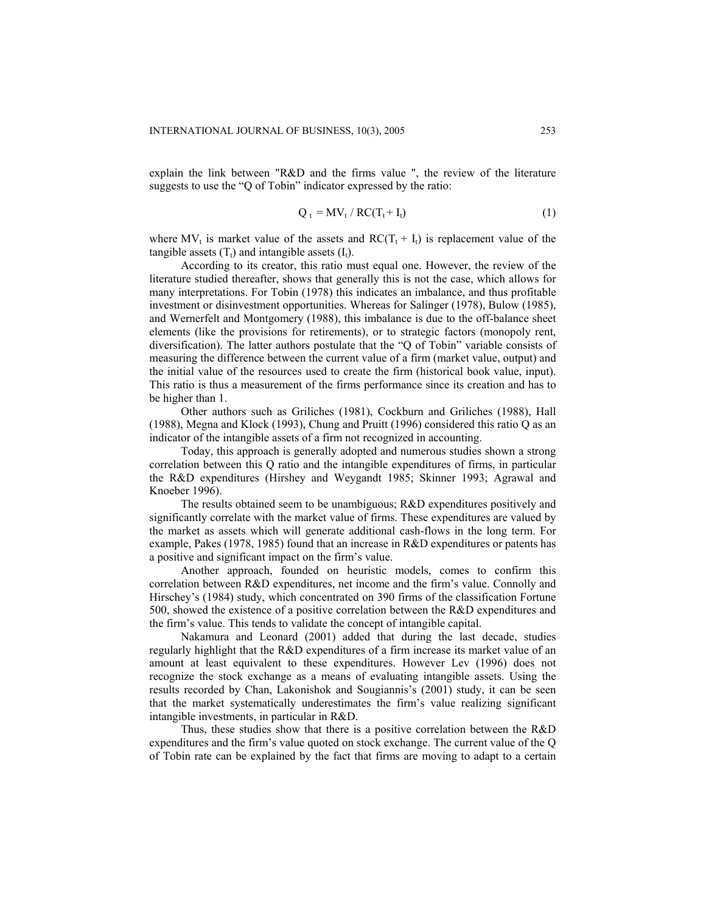explain the link between "R&D and the firms value ", the review of the literature suggests to use the "Q of Tobin" indicator expressed by the ratio:

$$
Q_t = MV_t / RC(T_t + I_t)
$$
 (1)

where MV<sub>t</sub> is market value of the assets and  $RC(T_t + I_t)$  is replacement value of the tangible assets  $(T_t)$  and intangible assets  $(I_t)$ .

According to its creator, this ratio must equal one. However, the review of the literature studied thereafter, shows that generally this is not the case, which allows for many interpretations. For Tobin (1978) this indicates an imbalance, and thus profitable investment or disinvestment opportunities. Whereas for Salinger (1978), Bulow (1985), and Wernerfelt and Montgomery (1988), this imbalance is due to the off-balance sheet elements (like the provisions for retirements), or to strategic factors (monopoly rent, diversification). The latter authors postulate that the "Q of Tobin" variable consists of measuring the difference between the current value of a firm (market value, output) and the initial value of the resources used to create the firm (historical book value, input). This ratio is thus a measurement of the firms performance since its creation and has to be higher than 1.

Other authors such as Griliches (1981), Cockburn and Griliches (1988), Hall (1988), Megna and Klock (1993), Chung and Pruitt (1996) considered this ratio Q as an indicator of the intangible assets of a firm not recognized in accounting.

Today, this approach is generally adopted and numerous studies shown a strong correlation between this Q ratio and the intangible expenditures of firms, in particular the R&D expenditures (Hirshey and Weygandt 1985; Skinner 1993; Agrawal and Knoeber 1996).

The results obtained seem to be unambiguous; R&D expenditures positively and significantly correlate with the market value of firms. These expenditures are valued by the market as assets which will generate additional cash-flows in the long term. For example, Pakes (1978, 1985) found that an increase in R&D expenditures or patents has a positive and significant impact on the firm's value.

Another approach, founded on heuristic models, comes to confirm this correlation between R&D expenditures, net income and the firm's value. Connolly and Hirschey's (1984) study, which concentrated on 390 firms of the classification Fortune 500, showed the existence of a positive correlation between the R&D expenditures and the firm's value. This tends to validate the concept of intangible capital.

Nakamura and Leonard (2001) added that during the last decade, studies regularly highlight that the R&D expenditures of a firm increase its market value of an amount at least equivalent to these expenditures. However Lev (1996) does not recognize the stock exchange as a means of evaluating intangible assets. Using the results recorded by Chan, Lakonishok and Sougiannis's (2001) study, it can be seen that the market systematically underestimates the firm's value realizing significant intangible investments, in particular in R&D.

Thus, these studies show that there is a positive correlation between the R&D expenditures and the firm's value quoted on stock exchange. The current value of the Q of Tobin rate can be explained by the fact that firms are moving to adapt to a certain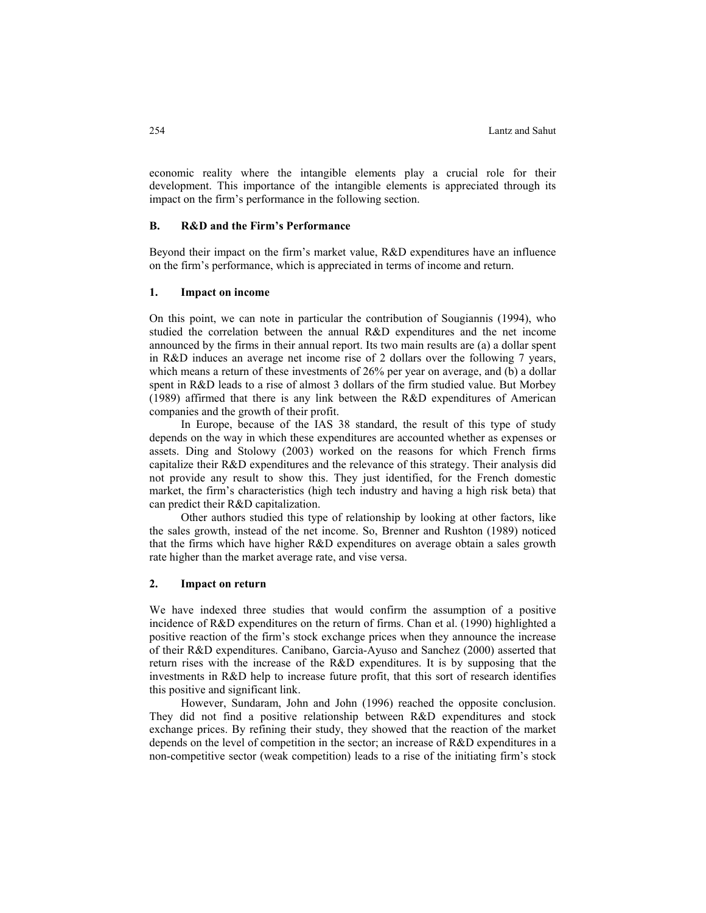economic reality where the intangible elements play a crucial role for their development. This importance of the intangible elements is appreciated through its impact on the firm's performance in the following section.

### **B. R&D and the Firm's Performance**

Beyond their impact on the firm's market value, R&D expenditures have an influence on the firm's performance, which is appreciated in terms of income and return.

#### **1. Impact on income**

On this point, we can note in particular the contribution of Sougiannis (1994), who studied the correlation between the annual R&D expenditures and the net income announced by the firms in their annual report. Its two main results are (a) a dollar spent in R&D induces an average net income rise of 2 dollars over the following 7 years, which means a return of these investments of 26% per year on average, and (b) a dollar spent in R&D leads to a rise of almost 3 dollars of the firm studied value. But Morbey (1989) affirmed that there is any link between the R&D expenditures of American companies and the growth of their profit.

In Europe, because of the IAS 38 standard, the result of this type of study depends on the way in which these expenditures are accounted whether as expenses or assets. Ding and Stolowy (2003) worked on the reasons for which French firms capitalize their R&D expenditures and the relevance of this strategy. Their analysis did not provide any result to show this. They just identified, for the French domestic market, the firm's characteristics (high tech industry and having a high risk beta) that can predict their R&D capitalization.

Other authors studied this type of relationship by looking at other factors, like the sales growth, instead of the net income. So, Brenner and Rushton (1989) noticed that the firms which have higher R&D expenditures on average obtain a sales growth rate higher than the market average rate, and vise versa.

### **2. Impact on return**

We have indexed three studies that would confirm the assumption of a positive incidence of R&D expenditures on the return of firms. Chan et al. (1990) highlighted a positive reaction of the firm's stock exchange prices when they announce the increase of their R&D expenditures. Canibano, Garcia-Ayuso and Sanchez (2000) asserted that return rises with the increase of the R&D expenditures. It is by supposing that the investments in R&D help to increase future profit, that this sort of research identifies this positive and significant link.

However, Sundaram, John and John (1996) reached the opposite conclusion. They did not find a positive relationship between R&D expenditures and stock exchange prices. By refining their study, they showed that the reaction of the market depends on the level of competition in the sector; an increase of R&D expenditures in a non-competitive sector (weak competition) leads to a rise of the initiating firm's stock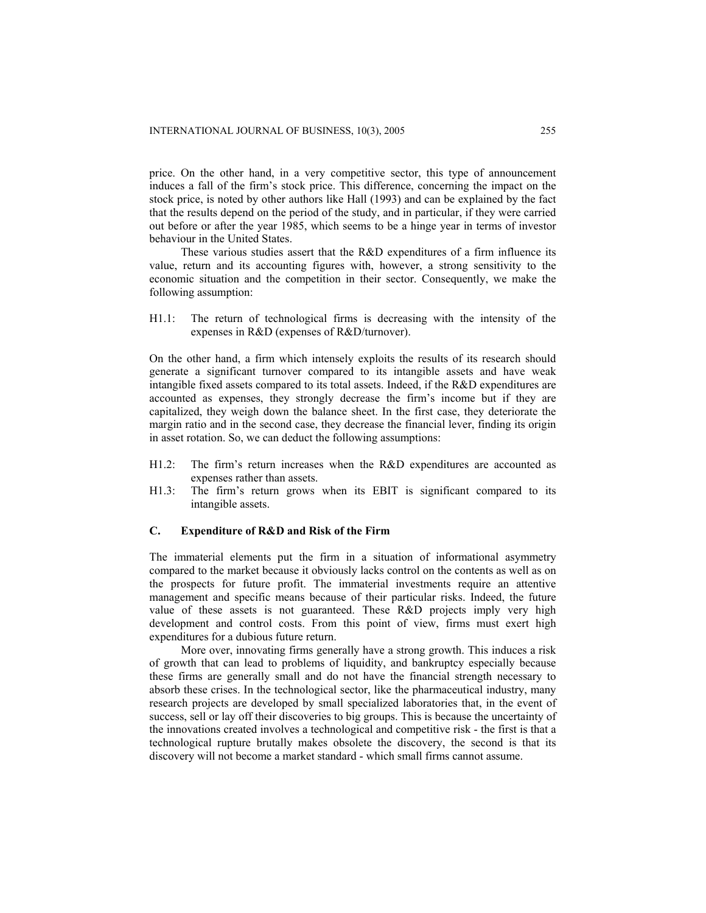price. On the other hand, in a very competitive sector, this type of announcement induces a fall of the firm's stock price. This difference, concerning the impact on the stock price, is noted by other authors like Hall (1993) and can be explained by the fact that the results depend on the period of the study, and in particular, if they were carried out before or after the year 1985, which seems to be a hinge year in terms of investor behaviour in the United States.

These various studies assert that the R&D expenditures of a firm influence its value, return and its accounting figures with, however, a strong sensitivity to the economic situation and the competition in their sector. Consequently, we make the following assumption:

H1.1: The return of technological firms is decreasing with the intensity of the expenses in R&D (expenses of R&D/turnover).

On the other hand, a firm which intensely exploits the results of its research should generate a significant turnover compared to its intangible assets and have weak intangible fixed assets compared to its total assets. Indeed, if the R&D expenditures are accounted as expenses, they strongly decrease the firm's income but if they are capitalized, they weigh down the balance sheet. In the first case, they deteriorate the margin ratio and in the second case, they decrease the financial lever, finding its origin in asset rotation. So, we can deduct the following assumptions:

- H1.2: The firm's return increases when the R&D expenditures are accounted as expenses rather than assets.
- H1.3: The firm's return grows when its EBIT is significant compared to its intangible assets.

## **C. Expenditure of R&D and Risk of the Firm**

The immaterial elements put the firm in a situation of informational asymmetry compared to the market because it obviously lacks control on the contents as well as on the prospects for future profit. The immaterial investments require an attentive management and specific means because of their particular risks. Indeed, the future value of these assets is not guaranteed. These R&D projects imply very high development and control costs. From this point of view, firms must exert high expenditures for a dubious future return.

More over, innovating firms generally have a strong growth. This induces a risk of growth that can lead to problems of liquidity, and bankruptcy especially because these firms are generally small and do not have the financial strength necessary to absorb these crises. In the technological sector, like the pharmaceutical industry, many research projects are developed by small specialized laboratories that, in the event of success, sell or lay off their discoveries to big groups. This is because the uncertainty of the innovations created involves a technological and competitive risk - the first is that a technological rupture brutally makes obsolete the discovery, the second is that its discovery will not become a market standard - which small firms cannot assume.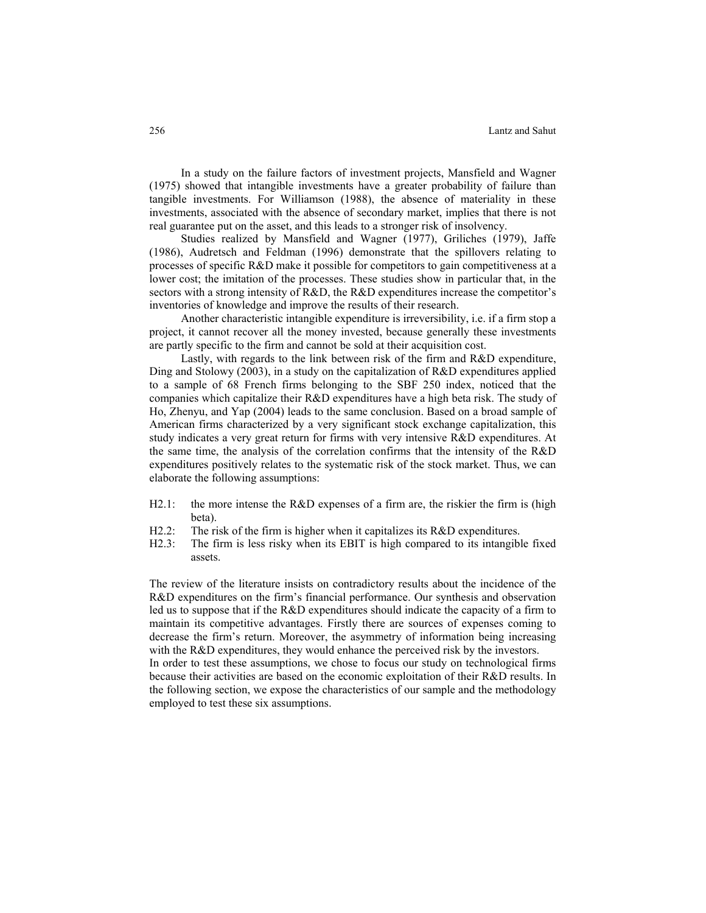In a study on the failure factors of investment projects, Mansfield and Wagner (1975) showed that intangible investments have a greater probability of failure than tangible investments. For Williamson (1988), the absence of materiality in these investments, associated with the absence of secondary market, implies that there is not real guarantee put on the asset, and this leads to a stronger risk of insolvency.

Studies realized by Mansfield and Wagner (1977), Griliches (1979), Jaffe (1986), Audretsch and Feldman (1996) demonstrate that the spillovers relating to processes of specific R&D make it possible for competitors to gain competitiveness at a lower cost; the imitation of the processes. These studies show in particular that, in the sectors with a strong intensity of R&D, the R&D expenditures increase the competitor's inventories of knowledge and improve the results of their research.

Another characteristic intangible expenditure is irreversibility, i.e. if a firm stop a project, it cannot recover all the money invested, because generally these investments are partly specific to the firm and cannot be sold at their acquisition cost.

Lastly, with regards to the link between risk of the firm and R&D expenditure, Ding and Stolowy (2003), in a study on the capitalization of R&D expenditures applied to a sample of 68 French firms belonging to the SBF 250 index, noticed that the companies which capitalize their R&D expenditures have a high beta risk. The study of Ho, Zhenyu, and Yap (2004) leads to the same conclusion. Based on a broad sample of American firms characterized by a very significant stock exchange capitalization, this study indicates a very great return for firms with very intensive R&D expenditures. At the same time, the analysis of the correlation confirms that the intensity of the R&D expenditures positively relates to the systematic risk of the stock market. Thus, we can elaborate the following assumptions:

- H2.1: the more intense the R&D expenses of a firm are, the riskier the firm is (high beta).
- H2.2: The risk of the firm is higher when it capitalizes its R&D expenditures.
- H2.3: The firm is less risky when its EBIT is high compared to its intangible fixed assets.

The review of the literature insists on contradictory results about the incidence of the R&D expenditures on the firm's financial performance. Our synthesis and observation led us to suppose that if the R&D expenditures should indicate the capacity of a firm to maintain its competitive advantages. Firstly there are sources of expenses coming to decrease the firm's return. Moreover, the asymmetry of information being increasing with the R&D expenditures, they would enhance the perceived risk by the investors.

In order to test these assumptions, we chose to focus our study on technological firms because their activities are based on the economic exploitation of their R&D results. In the following section, we expose the characteristics of our sample and the methodology employed to test these six assumptions.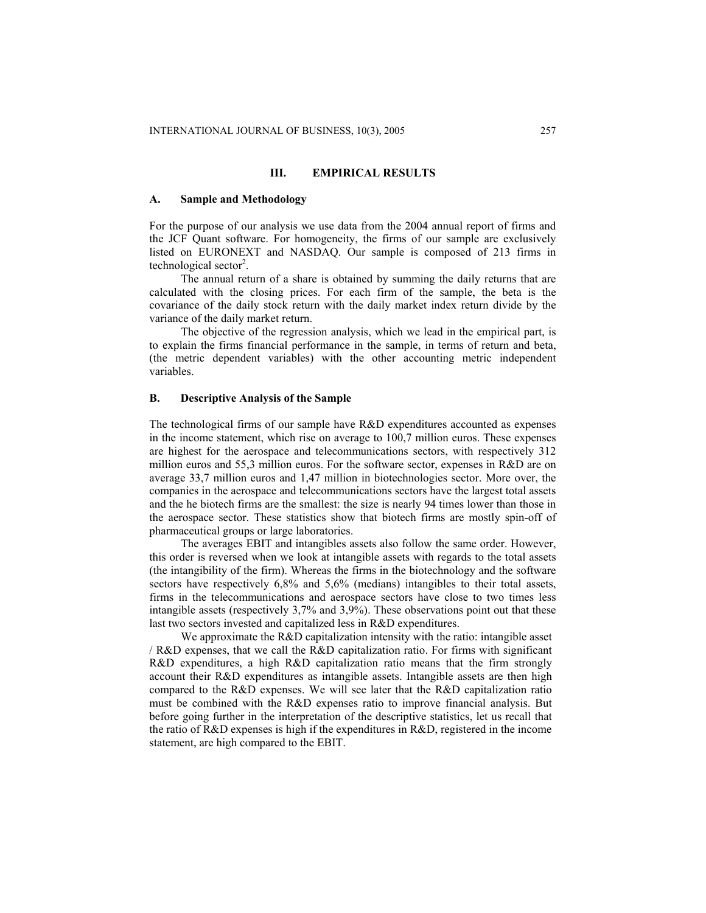## **III. EMPIRICAL RESULTS**

#### **A. Sample and Methodology**

For the purpose of our analysis we use data from the 2004 annual report of firms and the JCF Quant software. For homogeneity, the firms of our sample are exclusively listed on EURONEXT and NASDAQ. Our sample is composed of 213 firms in technological sector<sup>2</sup>.

The annual return of a share is obtained by summing the daily returns that are calculated with the closing prices. For each firm of the sample, the beta is the covariance of the daily stock return with the daily market index return divide by the variance of the daily market return.

The objective of the regression analysis, which we lead in the empirical part, is to explain the firms financial performance in the sample, in terms of return and beta, (the metric dependent variables) with the other accounting metric independent variables.

### **B. Descriptive Analysis of the Sample**

The technological firms of our sample have R&D expenditures accounted as expenses in the income statement, which rise on average to 100,7 million euros. These expenses are highest for the aerospace and telecommunications sectors, with respectively 312 million euros and 55,3 million euros. For the software sector, expenses in R&D are on average 33,7 million euros and 1,47 million in biotechnologies sector. More over, the companies in the aerospace and telecommunications sectors have the largest total assets and the he biotech firms are the smallest: the size is nearly 94 times lower than those in the aerospace sector. These statistics show that biotech firms are mostly spin-off of pharmaceutical groups or large laboratories.

The averages EBIT and intangibles assets also follow the same order. However, this order is reversed when we look at intangible assets with regards to the total assets (the intangibility of the firm). Whereas the firms in the biotechnology and the software sectors have respectively 6,8% and 5,6% (medians) intangibles to their total assets, firms in the telecommunications and aerospace sectors have close to two times less intangible assets (respectively 3,7% and 3,9%). These observations point out that these last two sectors invested and capitalized less in R&D expenditures.

We approximate the R&D capitalization intensity with the ratio: intangible asset / R&D expenses, that we call the R&D capitalization ratio. For firms with significant R&D expenditures, a high R&D capitalization ratio means that the firm strongly account their R&D expenditures as intangible assets. Intangible assets are then high compared to the R&D expenses. We will see later that the R&D capitalization ratio must be combined with the R&D expenses ratio to improve financial analysis. But before going further in the interpretation of the descriptive statistics, let us recall that the ratio of R&D expenses is high if the expenditures in R&D, registered in the income statement, are high compared to the EBIT.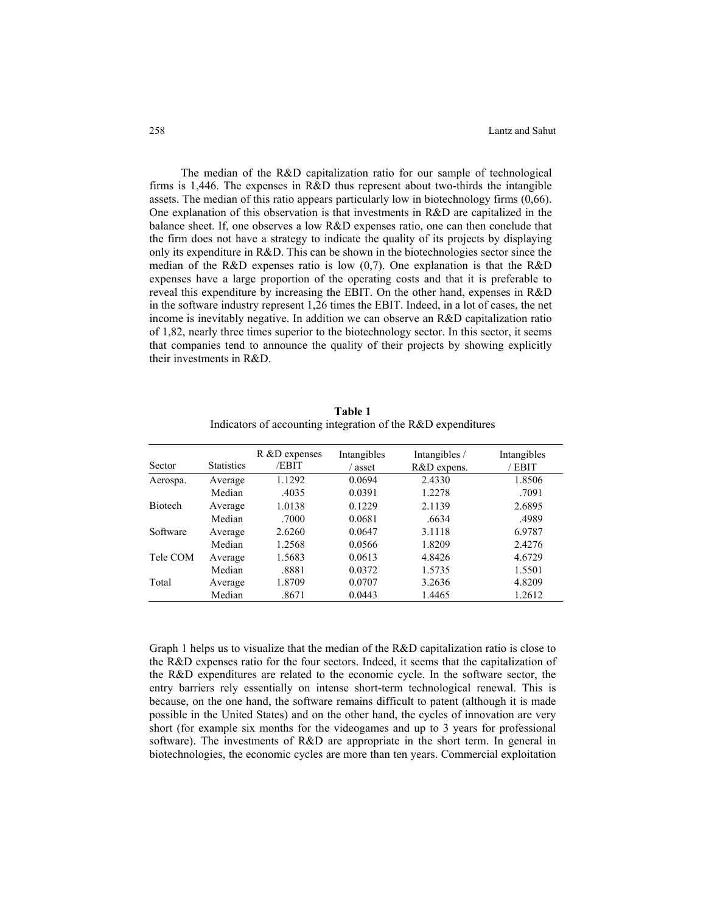The median of the R&D capitalization ratio for our sample of technological firms is 1,446. The expenses in R&D thus represent about two-thirds the intangible assets. The median of this ratio appears particularly low in biotechnology firms (0,66). One explanation of this observation is that investments in R&D are capitalized in the balance sheet. If, one observes a low R&D expenses ratio, one can then conclude that the firm does not have a strategy to indicate the quality of its projects by displaying only its expenditure in  $R&D$ . This can be shown in the biotechnologies sector since the median of the R&D expenses ratio is low (0,7). One explanation is that the R&D expenses have a large proportion of the operating costs and that it is preferable to reveal this expenditure by increasing the EBIT. On the other hand, expenses in R&D in the software industry represent 1,26 times the EBIT. Indeed, in a lot of cases, the net income is inevitably negative. In addition we can observe an R&D capitalization ratio of 1,82, nearly three times superior to the biotechnology sector. In this sector, it seems that companies tend to announce the quality of their projects by showing explicitly their investments in R&D.

| Sector         | <b>Statistics</b> | R &D expenses<br>/EBIT | Intangibles<br>asset | Intangibles /<br>R&D expens. | Intangibles<br>/ EBIT |
|----------------|-------------------|------------------------|----------------------|------------------------------|-----------------------|
| Aerospa.       | Average           | 1.1292                 | 0.0694               | 2.4330                       | 1.8506                |
|                | Median            | .4035                  | 0.0391               | 1.2278                       | .7091                 |
| <b>Biotech</b> | Average           | 1.0138                 | 0.1229               | 2.1139                       | 2.6895                |
|                | Median            | .7000                  | 0.0681               | .6634                        | .4989                 |
| Software       | Average           | 2.6260                 | 0.0647               | 3.1118                       | 6.9787                |
|                | Median            | 1.2568                 | 0.0566               | 1.8209                       | 2.4276                |
| Tele COM       | Average           | 1.5683                 | 0.0613               | 4.8426                       | 4.6729                |
|                | Median            | .8881                  | 0.0372               | 1.5735                       | 1.5501                |
| Total          | Average           | 1.8709                 | 0.0707               | 3.2636                       | 4.8209                |
|                | Median            | .8671                  | 0.0443               | 1.4465                       | 1.2612                |

**Table 1** Indicators of accounting integration of the R&D expenditures

Graph 1 helps us to visualize that the median of the R&D capitalization ratio is close to the R&D expenses ratio for the four sectors. Indeed, it seems that the capitalization of the R&D expenditures are related to the economic cycle. In the software sector, the entry barriers rely essentially on intense short-term technological renewal. This is because, on the one hand, the software remains difficult to patent (although it is made possible in the United States) and on the other hand, the cycles of innovation are very short (for example six months for the videogames and up to 3 years for professional software). The investments of R&D are appropriate in the short term. In general in biotechnologies, the economic cycles are more than ten years. Commercial exploitation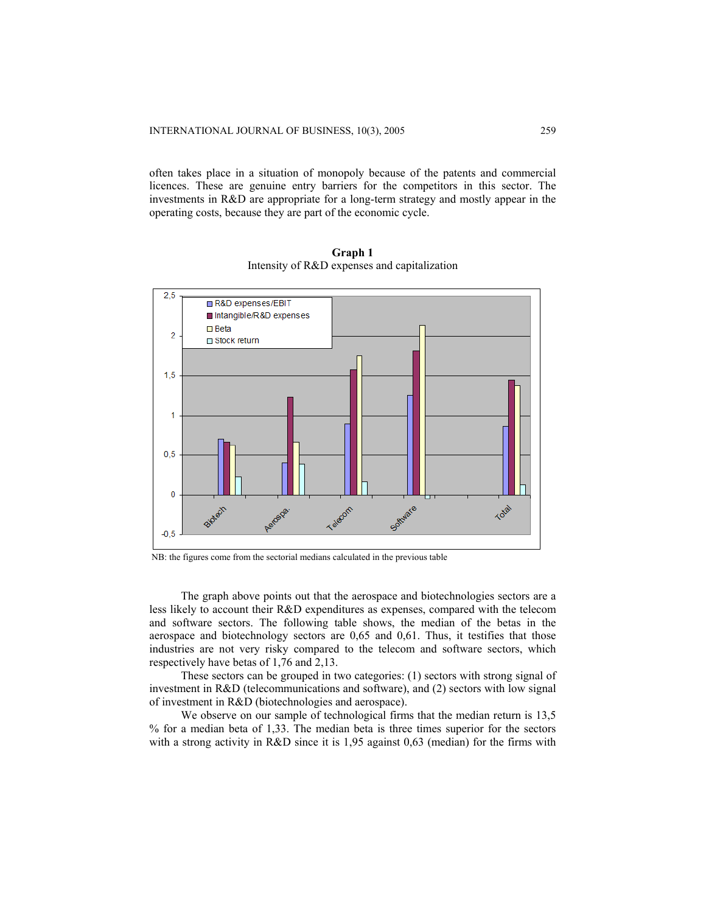often takes place in a situation of monopoly because of the patents and commercial licences. These are genuine entry barriers for the competitors in this sector. The investments in R&D are appropriate for a long-term strategy and mostly appear in the operating costs, because they are part of the economic cycle.



**Graph 1**  Intensity of R&D expenses and capitalization

NB: the figures come from the sectorial medians calculated in the previous table

The graph above points out that the aerospace and biotechnologies sectors are a less likely to account their R&D expenditures as expenses, compared with the telecom and software sectors. The following table shows, the median of the betas in the aerospace and biotechnology sectors are 0,65 and 0,61. Thus, it testifies that those industries are not very risky compared to the telecom and software sectors, which respectively have betas of 1,76 and 2,13.

These sectors can be grouped in two categories: (1) sectors with strong signal of investment in R&D (telecommunications and software), and (2) sectors with low signal of investment in R&D (biotechnologies and aerospace).

We observe on our sample of technological firms that the median return is 13,5 % for a median beta of 1,33. The median beta is three times superior for the sectors with a strong activity in R&D since it is 1,95 against 0,63 (median) for the firms with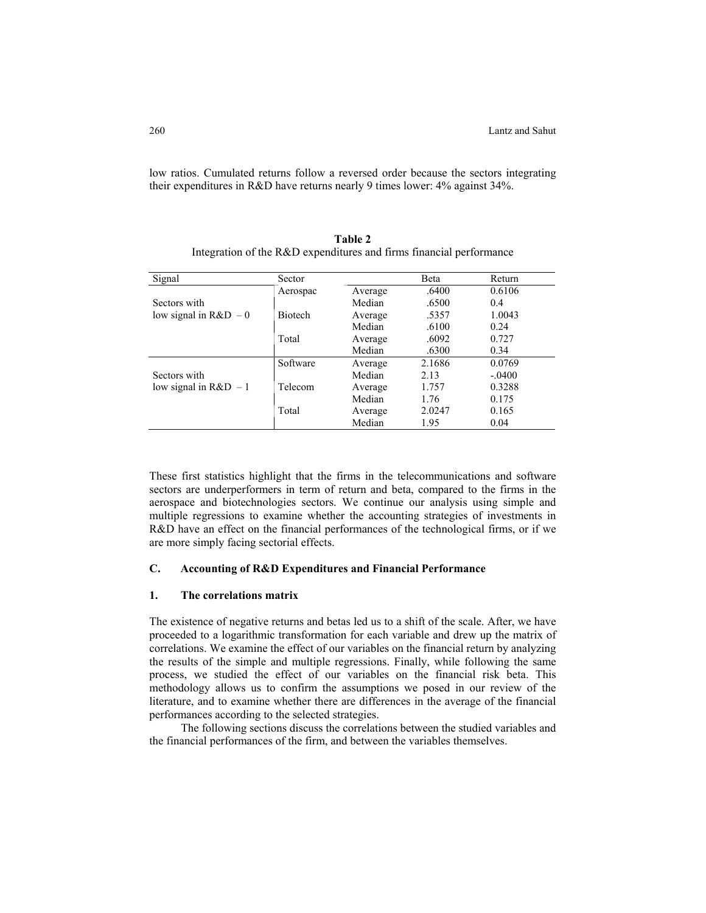low ratios. Cumulated returns follow a reversed order because the sectors integrating their expenditures in R&D have returns nearly 9 times lower: 4% against 34%.

| Signal                | Sector         |         | Beta   | Return   |
|-----------------------|----------------|---------|--------|----------|
|                       | Aerospac       | Average | .6400  | 0.6106   |
| Sectors with          |                | Median  | .6500  | 0.4      |
| low signal in $R&D-0$ | <b>Biotech</b> | Average | .5357  | 1.0043   |
|                       |                | Median  | .6100  | 0.24     |
|                       | Total          | Average | .6092  | 0.727    |
|                       |                | Median  | .6300  | 0.34     |
|                       | Software       | Average | 2.1686 | 0.0769   |
| Sectors with          |                | Median  | 2.13   | $-.0400$ |
| low signal in $R&D-1$ | Telecom        | Average | 1.757  | 0.3288   |
|                       |                | Median  | 1.76   | 0.175    |
|                       | Total          | Average | 2.0247 | 0.165    |
|                       |                | Median  | 1.95   | 0.04     |

**Table 2** Integration of the R&D expenditures and firms financial performance

These first statistics highlight that the firms in the telecommunications and software sectors are underperformers in term of return and beta, compared to the firms in the aerospace and biotechnologies sectors. We continue our analysis using simple and multiple regressions to examine whether the accounting strategies of investments in R&D have an effect on the financial performances of the technological firms, or if we are more simply facing sectorial effects.

## **C. Accounting of R&D Expenditures and Financial Performance**

# **1. The correlations matrix**

The existence of negative returns and betas led us to a shift of the scale. After, we have proceeded to a logarithmic transformation for each variable and drew up the matrix of correlations. We examine the effect of our variables on the financial return by analyzing the results of the simple and multiple regressions. Finally, while following the same process, we studied the effect of our variables on the financial risk beta. This methodology allows us to confirm the assumptions we posed in our review of the literature, and to examine whether there are differences in the average of the financial performances according to the selected strategies.

The following sections discuss the correlations between the studied variables and the financial performances of the firm, and between the variables themselves.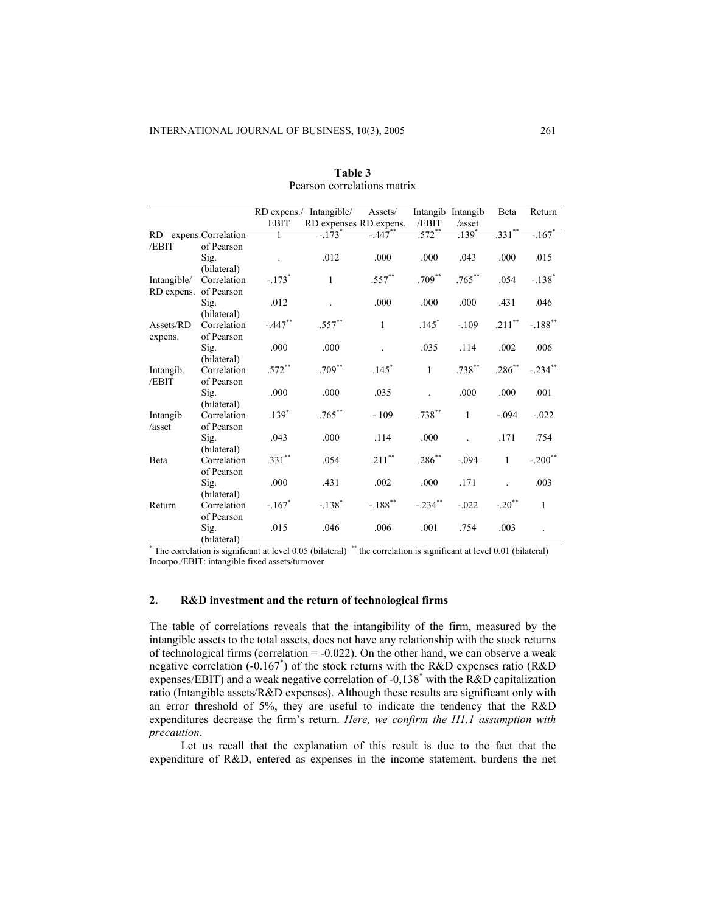|                    |                            |             | RD expens./ Intangible/ | Assets/               |                      | Intangib Intangib | Beta                 | Return                |
|--------------------|----------------------------|-------------|-------------------------|-----------------------|----------------------|-------------------|----------------------|-----------------------|
|                    |                            | <b>EBIT</b> | RD expenses RD expens.  |                       | /EBIT                | /asset            |                      |                       |
| <b>RD</b>          | expens.Correlation         | 1           | $-.173$ <sup>*</sup>    | $-.447$               | $.572$ <sup>**</sup> | .139 <sup>°</sup> | $.331$ <sup>**</sup> | $-.167$               |
| /EBIT              | of Pearson                 |             |                         |                       |                      |                   |                      |                       |
|                    | Sig.                       |             | .012                    | .000                  | .000                 | .043              | .000                 | .015                  |
|                    | (bilateral)                |             |                         |                       |                      |                   |                      |                       |
| Intangible/        | Correlation                | $-.173*$    | $\mathbf{1}$            | .557**                | $.709***$            | $.765***$         | .054                 | $-.138$ <sup>*</sup>  |
| RD expens.         | of Pearson                 |             |                         |                       |                      |                   |                      |                       |
|                    | Sig.                       | .012        |                         | .000                  | .000                 | .000              | .431                 | .046                  |
|                    | (bilateral)                |             |                         |                       |                      |                   |                      |                       |
| Assets/RD          | Correlation                | $-.447$ **  | $.557***$               | $\mathbf{1}$          | $.145*$              | $-.109$           | .211**               | $-.188$ <sup>**</sup> |
| expens.            | of Pearson                 |             |                         |                       |                      |                   |                      |                       |
|                    | Sig.                       | .000        | .000                    |                       | .035                 | .114              | .002                 | .006                  |
|                    | (bilateral)<br>Correlation | $.572***$   | $.709***$               | $.145*$               | $\mathbf{1}$         | $.738***$         | $.286^{**}$          | $-.234$ **            |
| Intangib.<br>/EBIT | of Pearson                 |             |                         |                       |                      |                   |                      |                       |
|                    | Sig.                       | .000        | .000                    | .035                  |                      | .000              | .000                 | .001                  |
|                    | (bilateral)                |             |                         |                       |                      |                   |                      |                       |
| Intangib           | Correlation                | $.139*$     | $.765***$               | $-.109$               | $.738***$            | $\mathbf{1}$      | $-.094$              | $-.022$               |
| /asset             | of Pearson                 |             |                         |                       |                      |                   |                      |                       |
|                    | Sig.                       | .043        | .000                    | .114                  | .000                 |                   | .171                 | .754                  |
|                    | (bilateral)                |             |                         |                       |                      |                   |                      |                       |
| Beta               | Correlation                | $.331***$   | .054                    | $.211***$             | $.286^{**}$          | $-.094$           | $\mathbf{1}$         | $-.200$ <sup>**</sup> |
|                    | of Pearson                 |             |                         |                       |                      |                   |                      |                       |
|                    | Sig.                       | .000        | .431                    | .002                  | .000                 | .171              |                      | .003                  |
|                    | (bilateral)                |             |                         |                       |                      |                   |                      |                       |
| Return             | Correlation                | $-.167*$    | $-.138$ <sup>*</sup>    | $-.188$ <sup>**</sup> | $-.234$ **           | $-.022$           | $-.20$ <sup>**</sup> | $\mathbf{1}$          |
|                    | of Pearson                 |             |                         |                       |                      |                   |                      |                       |
|                    | Sig.                       | .015        | .046                    | .006                  | .001                 | .754              | .003                 |                       |
|                    | (bilateral)                |             |                         |                       |                      |                   |                      |                       |

**Table 3** Pearson correlations matrix

\* The correlation is significant at level 0.05 (bilateral) \*\* the correlation is significant at level 0.01 (bilateral) Incorpo./EBIT: intangible fixed assets/turnover

## **2. R&D investment and the return of technological firms**

The table of correlations reveals that the intangibility of the firm, measured by the intangible assets to the total assets, does not have any relationship with the stock returns of technological firms (correlation  $= -0.022$ ). On the other hand, we can observe a weak negative correlation (-0.167\* ) of the stock returns with the R&D expenses ratio (R&D expenses/EBIT) and a weak negative correlation of -0,138\* with the R&D capitalization ratio (Intangible assets/R&D expenses). Although these results are significant only with an error threshold of 5%, they are useful to indicate the tendency that the R&D expenditures decrease the firm's return. *Here, we confirm the H1.1 assumption with precaution*.

Let us recall that the explanation of this result is due to the fact that the expenditure of R&D, entered as expenses in the income statement, burdens the net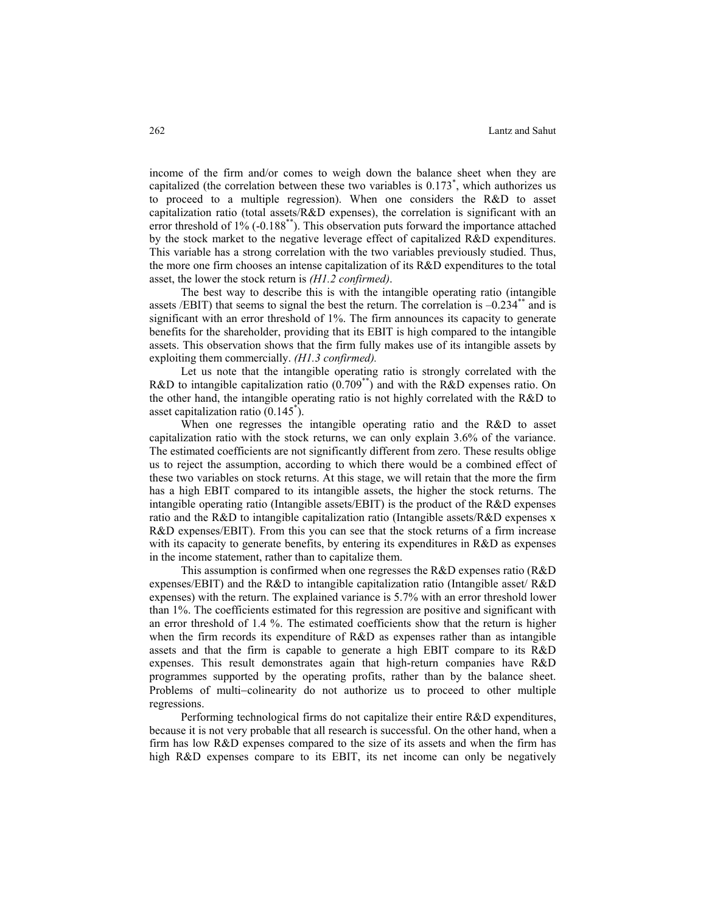income of the firm and/or comes to weigh down the balance sheet when they are capitalized (the correlation between these two variables is 0.173\* , which authorizes us to proceed to a multiple regression). When one considers the R&D to asset capitalization ratio (total assets/ $R&D$  expenses), the correlation is significant with an error threshold of 1% (-0.188\*\*). This observation puts forward the importance attached by the stock market to the negative leverage effect of capitalized R&D expenditures. This variable has a strong correlation with the two variables previously studied. Thus, the more one firm chooses an intense capitalization of its R&D expenditures to the total asset, the lower the stock return is *(H1.2 confirmed)*.

The best way to describe this is with the intangible operating ratio (intangible assets /EBIT) that seems to signal the best the return. The correlation is  $-0.234^{**}$  and is significant with an error threshold of 1%. The firm announces its capacity to generate benefits for the shareholder, providing that its EBIT is high compared to the intangible assets. This observation shows that the firm fully makes use of its intangible assets by exploiting them commercially. *(H1.3 confirmed).* 

Let us note that the intangible operating ratio is strongly correlated with the R&D to intangible capitalization ratio (0.709\*\*) and with the R&D expenses ratio. On the other hand, the intangible operating ratio is not highly correlated with the R&D to asset capitalization ratio (0.145\* ).

When one regresses the intangible operating ratio and the R&D to asset capitalization ratio with the stock returns, we can only explain 3.6% of the variance. The estimated coefficients are not significantly different from zero. These results oblige us to reject the assumption, according to which there would be a combined effect of these two variables on stock returns. At this stage, we will retain that the more the firm has a high EBIT compared to its intangible assets, the higher the stock returns. The intangible operating ratio (Intangible assets/EBIT) is the product of the R&D expenses ratio and the R&D to intangible capitalization ratio (Intangible assets/R&D expenses x R&D expenses/EBIT). From this you can see that the stock returns of a firm increase with its capacity to generate benefits, by entering its expenditures in R&D as expenses in the income statement, rather than to capitalize them.

This assumption is confirmed when one regresses the R&D expenses ratio (R&D expenses/EBIT) and the R&D to intangible capitalization ratio (Intangible asset/ R&D expenses) with the return. The explained variance is 5.7% with an error threshold lower than 1%. The coefficients estimated for this regression are positive and significant with an error threshold of 1.4 %. The estimated coefficients show that the return is higher when the firm records its expenditure of R&D as expenses rather than as intangible assets and that the firm is capable to generate a high EBIT compare to its R&D expenses. This result demonstrates again that high-return companies have R&D programmes supported by the operating profits, rather than by the balance sheet. Problems of multi−colinearity do not authorize us to proceed to other multiple regressions.

Performing technological firms do not capitalize their entire R&D expenditures, because it is not very probable that all research is successful. On the other hand, when a firm has low R&D expenses compared to the size of its assets and when the firm has high R&D expenses compare to its EBIT, its net income can only be negatively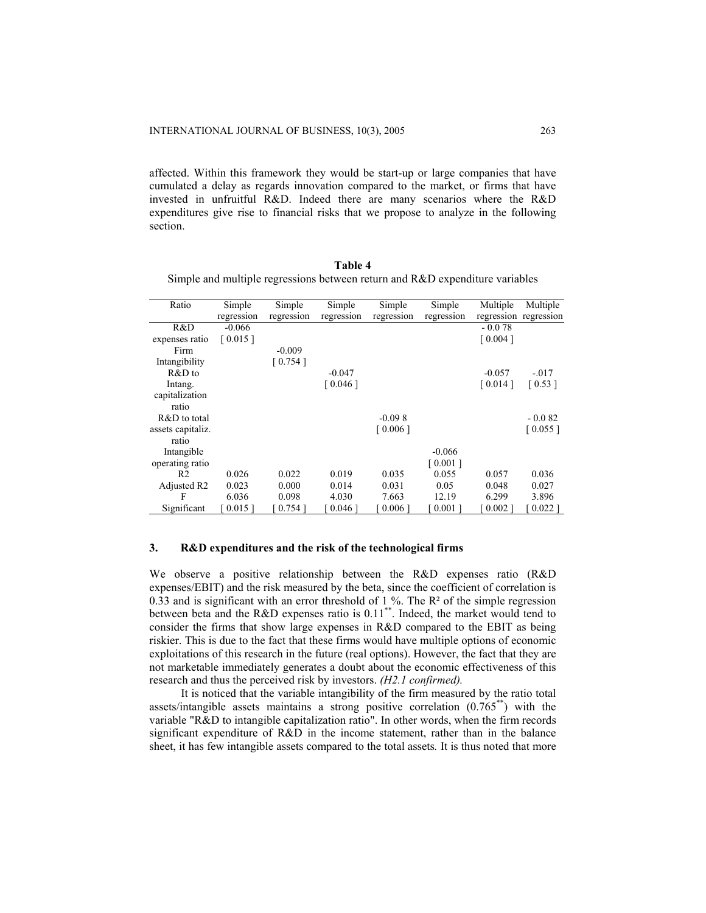affected. Within this framework they would be start-up or large companies that have cumulated a delay as regards innovation compared to the market, or firms that have invested in unfruitful R&D. Indeed there are many scenarios where the R&D expenditures give rise to financial risks that we propose to analyze in the following section.

| Ratio                   | Simple     | Simple     | Simple     | Simple     | Simple     | Multiple   | Multiple   |
|-------------------------|------------|------------|------------|------------|------------|------------|------------|
|                         | regression | regression | regression | regression | regression | regression | regression |
| R&D                     | $-0.066$   |            |            |            |            | $-0.078$   |            |
| expenses ratio          | [0.015]    |            |            |            |            | [0.004]    |            |
| Firm                    |            | $-0.009$   |            |            |            |            |            |
| Intangibility           |            | [0.754]    |            |            |            |            |            |
| R&D to                  |            |            | $-0.047$   |            |            | $-0.057$   | $-.017$    |
| Intang.                 |            |            | [ 0.046 ]  |            |            | [0.014]    | [0.53]     |
| capitalization          |            |            |            |            |            |            |            |
| ratio                   |            |            |            |            |            |            |            |
| R&D to total            |            |            |            | $-0.098$   |            |            | $-0.082$   |
| assets capitaliz.       |            |            |            | [0.006]    |            |            | [0.055]    |
| ratio                   |            |            |            |            |            |            |            |
| Intangible              |            |            |            |            | $-0.066$   |            |            |
| operating ratio         |            |            |            |            | [0.001]    |            |            |
| R <sub>2</sub>          | 0.026      | 0.022      | 0.019      | 0.035      | 0.055      | 0.057      | 0.036      |
| Adjusted R <sub>2</sub> | 0.023      | 0.000      | 0.014      | 0.031      | 0.05       | 0.048      | 0.027      |
| F                       | 6.036      | 0.098      | 4.030      | 7.663      | 12.19      | 6.299      | 3.896      |
| Significant             | [ 0.015 ]  | $0.754$ ]  | $0.046$ ]  | [0.006]    | $0.001$ ]  | $0.002$ ]  | $0.022$ ]  |

**Table 4** Simple and multiple regressions between return and R&D expenditure variables

## **3. R&D expenditures and the risk of the technological firms**

We observe a positive relationship between the R&D expenses ratio (R&D expenses/EBIT) and the risk measured by the beta, since the coefficient of correlation is 0.33 and is significant with an error threshold of 1 %. The  $R<sup>2</sup>$  of the simple regression between beta and the R&D expenses ratio is  $0.11^{**}$ . Indeed, the market would tend to consider the firms that show large expenses in R&D compared to the EBIT as being riskier. This is due to the fact that these firms would have multiple options of economic exploitations of this research in the future (real options). However, the fact that they are not marketable immediately generates a doubt about the economic effectiveness of this research and thus the perceived risk by investors. *(H2.1 confirmed).* 

It is noticed that the variable intangibility of the firm measured by the ratio total assets/intangible assets maintains a strong positive correlation  $(0.765^{**})$  with the variable "R&D to intangible capitalization ratio". In other words, when the firm records significant expenditure of R&D in the income statement, rather than in the balance sheet, it has few intangible assets compared to the total assets*.* It is thus noted that more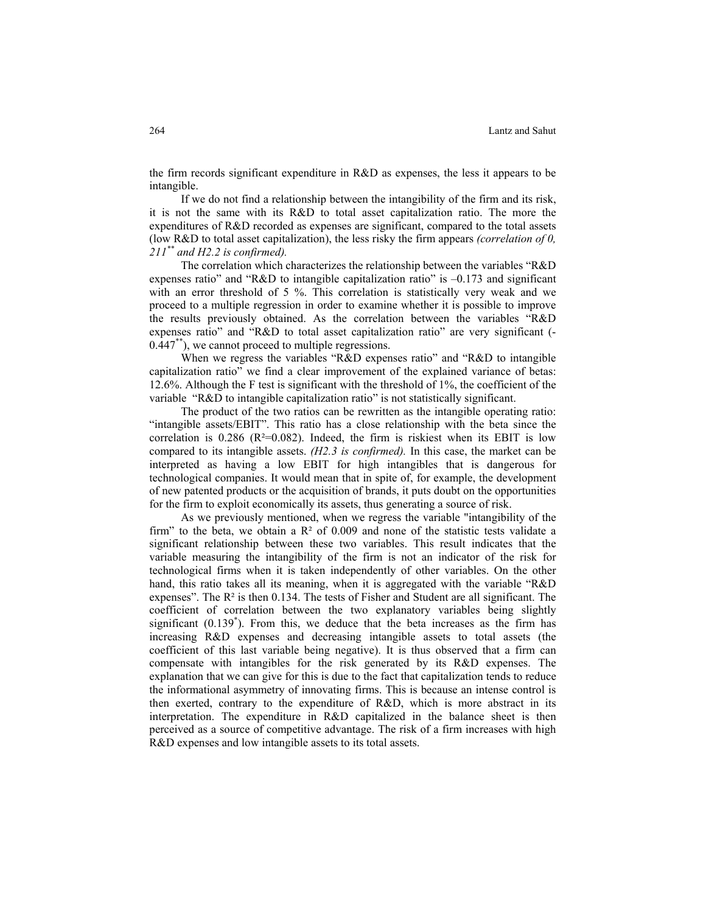the firm records significant expenditure in R&D as expenses, the less it appears to be intangible.

If we do not find a relationship between the intangibility of the firm and its risk, it is not the same with its R&D to total asset capitalization ratio. The more the expenditures of R&D recorded as expenses are significant, compared to the total assets (low R&D to total asset capitalization), the less risky the firm appears *(correlation of 0, 211\*\* and H2.2 is confirmed).* 

The correlation which characterizes the relationship between the variables "R&D expenses ratio" and "R&D to intangible capitalization ratio" is –0.173 and significant with an error threshold of 5 %. This correlation is statistically very weak and we proceed to a multiple regression in order to examine whether it is possible to improve the results previously obtained. As the correlation between the variables "R&D expenses ratio" and "R&D to total asset capitalization ratio" are very significant (- 0.447\*\*), we cannot proceed to multiple regressions.

When we regress the variables "R&D expenses ratio" and "R&D to intangible capitalization ratio" we find a clear improvement of the explained variance of betas: 12.6%. Although the F test is significant with the threshold of 1%, the coefficient of the variable "R&D to intangible capitalization ratio" is not statistically significant.

The product of the two ratios can be rewritten as the intangible operating ratio: "intangible assets/EBIT". This ratio has a close relationship with the beta since the correlation is  $0.286$  ( $R^2=0.082$ ). Indeed, the firm is riskiest when its EBIT is low compared to its intangible assets. *(H2.3 is confirmed).* In this case, the market can be interpreted as having a low EBIT for high intangibles that is dangerous for technological companies. It would mean that in spite of, for example, the development of new patented products or the acquisition of brands, it puts doubt on the opportunities for the firm to exploit economically its assets, thus generating a source of risk.

As we previously mentioned, when we regress the variable "intangibility of the firm" to the beta, we obtain a  $\mathbb{R}^2$  of 0.009 and none of the statistic tests validate a significant relationship between these two variables. This result indicates that the variable measuring the intangibility of the firm is not an indicator of the risk for technological firms when it is taken independently of other variables. On the other hand, this ratio takes all its meaning, when it is aggregated with the variable "R&D expenses". The  $R^2$  is then 0.134. The tests of Fisher and Student are all significant. The coefficient of correlation between the two explanatory variables being slightly significant  $(0.139^*)$ . From this, we deduce that the beta increases as the firm has increasing R&D expenses and decreasing intangible assets to total assets (the coefficient of this last variable being negative). It is thus observed that a firm can compensate with intangibles for the risk generated by its R&D expenses. The explanation that we can give for this is due to the fact that capitalization tends to reduce the informational asymmetry of innovating firms. This is because an intense control is then exerted, contrary to the expenditure of R&D, which is more abstract in its interpretation. The expenditure in R&D capitalized in the balance sheet is then perceived as a source of competitive advantage. The risk of a firm increases with high R&D expenses and low intangible assets to its total assets.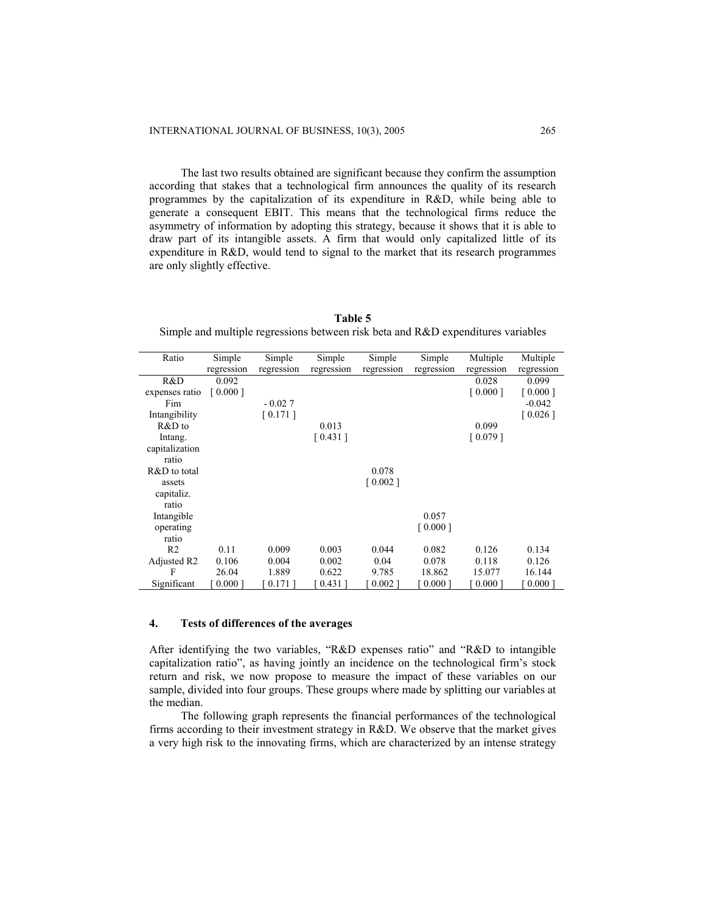The last two results obtained are significant because they confirm the assumption according that stakes that a technological firm announces the quality of its research programmes by the capitalization of its expenditure in R&D, while being able to generate a consequent EBIT. This means that the technological firms reduce the asymmetry of information by adopting this strategy, because it shows that it is able to draw part of its intangible assets. A firm that would only capitalized little of its expenditure in R&D, would tend to signal to the market that its research programmes are only slightly effective.

**Table 5** Simple and multiple regressions between risk beta and R&D expenditures variables

| Ratio                   | Simple     | Simple     | Simple     | Simple     | Simple     | Multiple   | Multiple   |
|-------------------------|------------|------------|------------|------------|------------|------------|------------|
|                         | regression | regression | regression | regression | regression | regression | regression |
| R&D                     | 0.092      |            |            |            |            | 0.028      | 0.099      |
| expenses ratio          | [0.000]    |            |            |            |            | [0.000]    | [0.000]    |
| Fim                     |            | $-0.027$   |            |            |            |            | $-0.042$   |
| Intangibility           |            | [0.171]    |            |            |            |            | [0.026]    |
| R&D to                  |            |            | 0.013      |            |            | 0.099      |            |
| Intang.                 |            |            | [0.431]    |            |            | [0.079]    |            |
| capitalization          |            |            |            |            |            |            |            |
| ratio                   |            |            |            |            |            |            |            |
| R&D to total            |            |            |            | 0.078      |            |            |            |
| assets                  |            |            |            | [0.002]    |            |            |            |
| capitaliz.              |            |            |            |            |            |            |            |
| ratio                   |            |            |            |            |            |            |            |
| Intangible              |            |            |            |            | 0.057      |            |            |
| operating               |            |            |            |            | [0.000]    |            |            |
| ratio                   |            |            |            |            |            |            |            |
| R <sub>2</sub>          | 0.11       | 0.009      | 0.003      | 0.044      | 0.082      | 0.126      | 0.134      |
| Adjusted R <sub>2</sub> | 0.106      | 0.004      | 0.002      | 0.04       | 0.078      | 0.118      | 0.126      |
| F                       | 26.04      | 1.889      | 0.622      | 9.785      | 18.862     | 15.077     | 16.144     |
| Significant             | $0.000$ ]  | $0.171$ ]  | $0.431$ ]  | $0.002$ ]  | 0.0001     | 0.0001     | $0.000$ ]  |

## **4. Tests of differences of the averages**

After identifying the two variables, "R&D expenses ratio" and "R&D to intangible capitalization ratio", as having jointly an incidence on the technological firm's stock return and risk, we now propose to measure the impact of these variables on our sample, divided into four groups. These groups where made by splitting our variables at the median.

The following graph represents the financial performances of the technological firms according to their investment strategy in R&D. We observe that the market gives a very high risk to the innovating firms, which are characterized by an intense strategy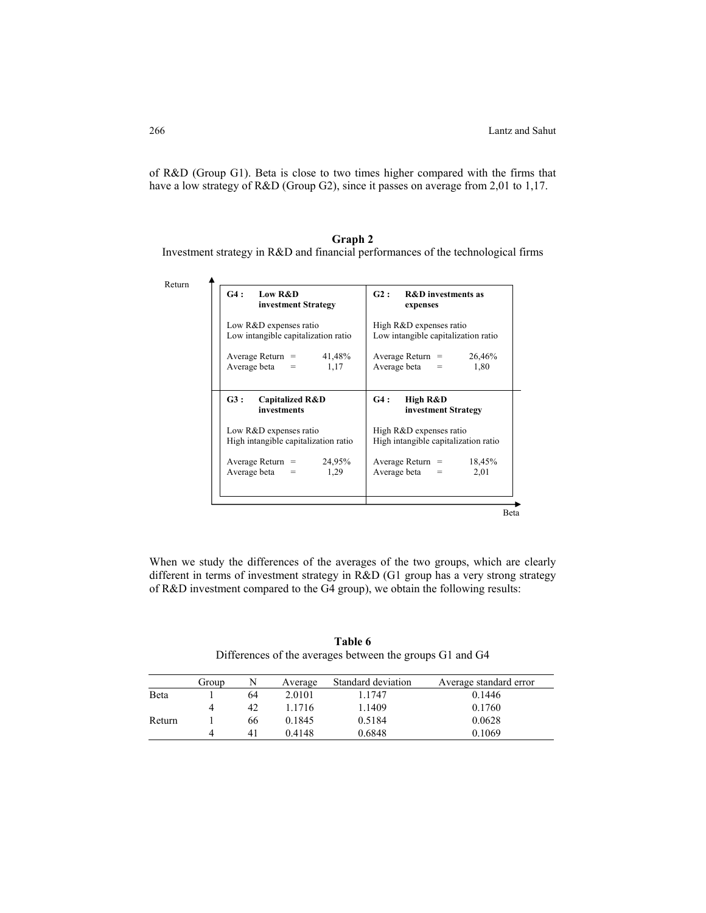of R&D (Group G1). Beta is close to two times higher compared with the firms that have a low strategy of R&D (Group G2), since it passes on average from 2,01 to 1,17.

# **Graph 2**  Investment strategy in R&D and financial performances of the technological firms

| G4:                                                      | G2:                                                                                       |
|----------------------------------------------------------|-------------------------------------------------------------------------------------------|
| Low R&D                                                  | <b>R&amp;D</b> investments as                                                             |
| investment Strategy                                      | expenses                                                                                  |
| Low R&D expenses ratio                                   | High R&D expenses ratio                                                                   |
| Low intangible capitalization ratio                      | Low intangible capitalization ratio                                                       |
| 41,48%                                                   | 26,46%                                                                                    |
| Average Return $=$                                       | Average Return $=$                                                                        |
| Average beta $=$                                         | Average beta $=$                                                                          |
| 1,17                                                     | 1,80                                                                                      |
| G3:                                                      | G4:                                                                                       |
| <b>Capitalized R&amp;D</b>                               | High R&D                                                                                  |
| investments                                              | investment Strategy                                                                       |
| Low R&D expenses ratio                                   | High R&D expenses ratio                                                                   |
| High intangible capitalization ratio                     | High intangible capitalization ratio                                                      |
| 24,95%<br>Average Return $=$<br>Average beta $=$<br>1,29 | 18,45%<br>Average Return $=$<br>Average beta<br>2,01<br>$\hspace{1.0cm} = \hspace{1.0cm}$ |

When we study the differences of the averages of the two groups, which are clearly different in terms of investment strategy in R&D (G1 group has a very strong strategy of R&D investment compared to the G4 group), we obtain the following results:

|        | Group | N  | Average | Standard deviation | Average standard error |
|--------|-------|----|---------|--------------------|------------------------|
| Beta   |       | 64 | 2.0101  | 1.1747             | 0.1446                 |
|        |       | 42 | 1.1716  | 1.1409             | 0.1760                 |
| Return |       | 66 | 0.1845  | 0.5184             | 0.0628                 |
|        | Δ     | 41 | 0.4148  | 0.6848             | 0.1069                 |

**Table 6** Differences of the averages between the groups G1 and G4

Return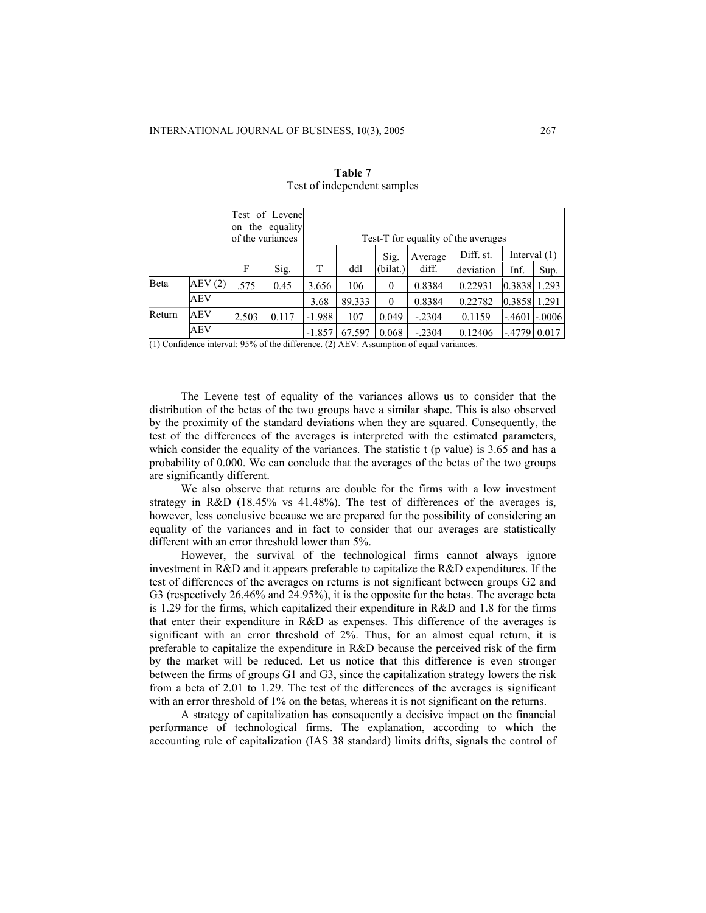|        |            |       | Test of Levene<br>on the equality<br>of the variances |                                                                                                      |        |          |          | Test-T for equality of the averages |          |          |
|--------|------------|-------|-------------------------------------------------------|------------------------------------------------------------------------------------------------------|--------|----------|----------|-------------------------------------|----------|----------|
|        |            | F     | Sig.                                                  | Diff. st.<br>Interval $(1)$<br>Sig.<br>Average<br>T<br>(bilat.)<br>diff.<br>ddl<br>deviation<br>Inf. |        |          |          |                                     |          |          |
|        |            |       |                                                       |                                                                                                      |        |          |          |                                     |          | Sup.     |
| Beta   | AEV(2)     | .575  | 0.45                                                  | 3.656                                                                                                | 106    | $\Omega$ | 0.8384   | 0.22931                             | 0.3838   | 1.293    |
|        | <b>AEV</b> |       |                                                       | 3.68                                                                                                 | 89.333 | $\Omega$ | 0.8384   | 0.22782                             | 0.3858   | 1.291    |
| Return | AEV        | 2.503 | 0.117                                                 | $-1.988$                                                                                             | 107    | 0.049    | $-.2304$ | 0.1159                              | $-.4601$ | $-.0006$ |
|        | AEV        |       |                                                       | $-1.857$                                                                                             | 67.597 | 0.068    | $-.2304$ | 0.12406                             | $-4779$  | 0.017    |

| Table 7                     |
|-----------------------------|
| Test of independent samples |

(1) Confidence interval: 95% of the difference. (2) AEV: Assumption of equal variances.

The Levene test of equality of the variances allows us to consider that the distribution of the betas of the two groups have a similar shape. This is also observed by the proximity of the standard deviations when they are squared. Consequently, the test of the differences of the averages is interpreted with the estimated parameters, which consider the equality of the variances. The statistic  $t$  (p value) is 3.65 and has a probability of 0.000. We can conclude that the averages of the betas of the two groups are significantly different.

We also observe that returns are double for the firms with a low investment strategy in R&D (18.45% vs 41.48%). The test of differences of the averages is, however, less conclusive because we are prepared for the possibility of considering an equality of the variances and in fact to consider that our averages are statistically different with an error threshold lower than 5%.

However, the survival of the technological firms cannot always ignore investment in R&D and it appears preferable to capitalize the R&D expenditures. If the test of differences of the averages on returns is not significant between groups G2 and G3 (respectively 26.46% and 24.95%), it is the opposite for the betas. The average beta is 1.29 for the firms, which capitalized their expenditure in R&D and 1.8 for the firms that enter their expenditure in R&D as expenses. This difference of the averages is significant with an error threshold of 2%. Thus, for an almost equal return, it is preferable to capitalize the expenditure in R&D because the perceived risk of the firm by the market will be reduced. Let us notice that this difference is even stronger between the firms of groups G1 and G3, since the capitalization strategy lowers the risk from a beta of 2.01 to 1.29. The test of the differences of the averages is significant with an error threshold of 1% on the betas, whereas it is not significant on the returns.

A strategy of capitalization has consequently a decisive impact on the financial performance of technological firms. The explanation, according to which the accounting rule of capitalization (IAS 38 standard) limits drifts, signals the control of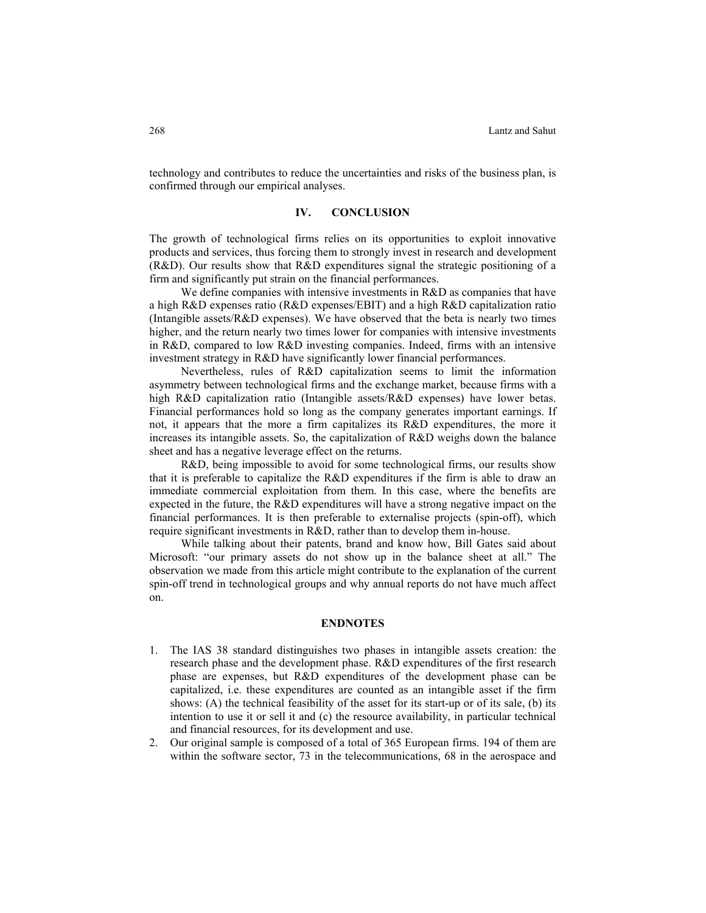technology and contributes to reduce the uncertainties and risks of the business plan, is confirmed through our empirical analyses.

### **IV. CONCLUSION**

The growth of technological firms relies on its opportunities to exploit innovative products and services, thus forcing them to strongly invest in research and development (R&D). Our results show that R&D expenditures signal the strategic positioning of a firm and significantly put strain on the financial performances.

We define companies with intensive investments in R&D as companies that have a high R&D expenses ratio (R&D expenses/EBIT) and a high R&D capitalization ratio (Intangible assets/ $R&D$  expenses). We have observed that the beta is nearly two times higher, and the return nearly two times lower for companies with intensive investments in R&D, compared to low R&D investing companies. Indeed, firms with an intensive investment strategy in R&D have significantly lower financial performances.

Nevertheless, rules of R&D capitalization seems to limit the information asymmetry between technological firms and the exchange market, because firms with a high R&D capitalization ratio (Intangible assets/R&D expenses) have lower betas. Financial performances hold so long as the company generates important earnings. If not, it appears that the more a firm capitalizes its R&D expenditures, the more it increases its intangible assets. So, the capitalization of R&D weighs down the balance sheet and has a negative leverage effect on the returns.

R&D, being impossible to avoid for some technological firms, our results show that it is preferable to capitalize the R&D expenditures if the firm is able to draw an immediate commercial exploitation from them. In this case, where the benefits are expected in the future, the R&D expenditures will have a strong negative impact on the financial performances. It is then preferable to externalise projects (spin-off), which require significant investments in R&D, rather than to develop them in-house.

While talking about their patents, brand and know how, Bill Gates said about Microsoft: "our primary assets do not show up in the balance sheet at all." The observation we made from this article might contribute to the explanation of the current spin-off trend in technological groups and why annual reports do not have much affect on.

#### **ENDNOTES**

- 1. The IAS 38 standard distinguishes two phases in intangible assets creation: the research phase and the development phase. R&D expenditures of the first research phase are expenses, but R&D expenditures of the development phase can be capitalized, i.e. these expenditures are counted as an intangible asset if the firm shows: (A) the technical feasibility of the asset for its start-up or of its sale, (b) its intention to use it or sell it and (c) the resource availability, in particular technical and financial resources, for its development and use.
- 2. Our original sample is composed of a total of 365 European firms. 194 of them are within the software sector, 73 in the telecommunications, 68 in the aerospace and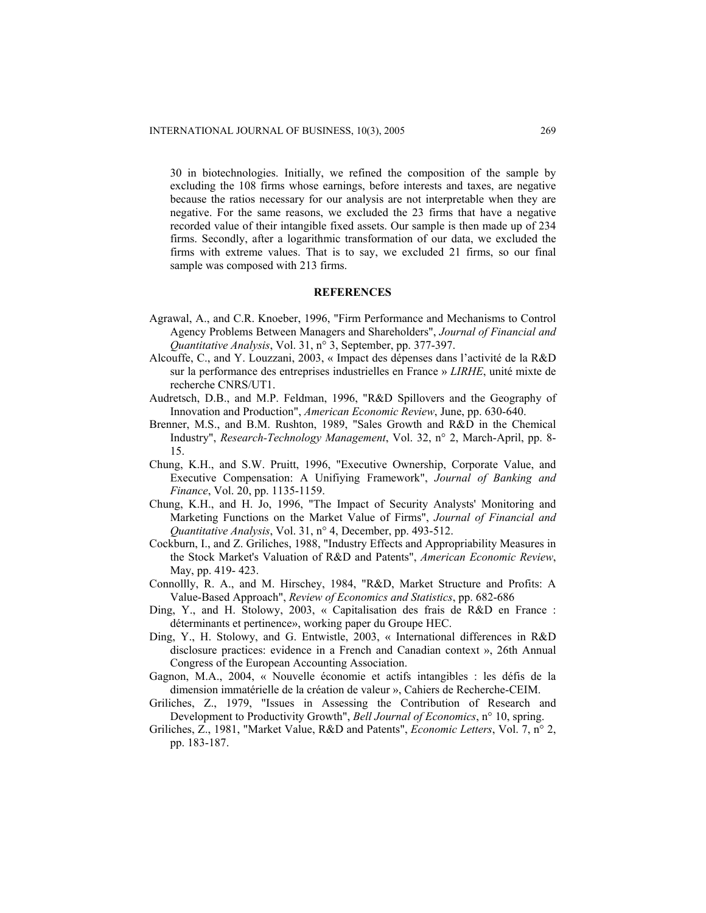30 in biotechnologies. Initially, we refined the composition of the sample by excluding the 108 firms whose earnings, before interests and taxes, are negative because the ratios necessary for our analysis are not interpretable when they are negative. For the same reasons, we excluded the 23 firms that have a negative recorded value of their intangible fixed assets. Our sample is then made up of 234 firms. Secondly, after a logarithmic transformation of our data, we excluded the firms with extreme values. That is to say, we excluded 21 firms, so our final sample was composed with 213 firms.

### **REFERENCES**

- Agrawal, A., and C.R. Knoeber, 1996, "Firm Performance and Mechanisms to Control Agency Problems Between Managers and Shareholders", *Journal of Financial and Quantitative Analysis*, Vol. 31, n° 3, September, pp. 377-397.
- Alcouffe, C., and Y. Louzzani, 2003, « Impact des dépenses dans l'activité de la R&D sur la performance des entreprises industrielles en France » *LIRHE*, unité mixte de recherche CNRS/UT1.
- Audretsch, D.B., and M.P. Feldman, 1996, "R&D Spillovers and the Geography of Innovation and Production", *American Economic Review*, June, pp. 630-640.
- Brenner, M.S., and B.M. Rushton, 1989, "Sales Growth and R&D in the Chemical Industry", *Research-Technology Management*, Vol. 32, n° 2, March-April, pp. 8- 15.
- Chung, K.H., and S.W. Pruitt, 1996, "Executive Ownership, Corporate Value, and Executive Compensation: A Unifiying Framework", *Journal of Banking and Finance*, Vol. 20, pp. 1135-1159.
- Chung, K.H., and H. Jo, 1996, "The Impact of Security Analysts' Monitoring and Marketing Functions on the Market Value of Firms", *Journal of Financial and Quantitative Analysis*, Vol. 31, n° 4, December, pp. 493-512.
- Cockburn, I., and Z. Griliches, 1988, "Industry Effects and Appropriability Measures in the Stock Market's Valuation of R&D and Patents", *American Economic Review*, May, pp. 419- 423.
- Connollly, R. A., and M. Hirschey, 1984, "R&D, Market Structure and Profits: A Value-Based Approach", *Review of Economics and Statistics*, pp. 682-686
- Ding, Y., and H. Stolowy, 2003, « Capitalisation des frais de R&D en France : déterminants et pertinence», working paper du Groupe HEC.
- Ding, Y., H. Stolowy, and G. Entwistle, 2003, « International differences in R&D disclosure practices: evidence in a French and Canadian context », 26th Annual Congress of the European Accounting Association.
- Gagnon, M.A., 2004, « Nouvelle économie et actifs intangibles : les défis de la dimension immatérielle de la création de valeur », Cahiers de Recherche-CEIM.
- Griliches, Z., 1979, "Issues in Assessing the Contribution of Research and Development to Productivity Growth", *Bell Journal of Economics*, n° 10, spring.
- Griliches, Z., 1981, "Market Value, R&D and Patents", *Economic Letters*, Vol. 7, n° 2, pp. 183-187.